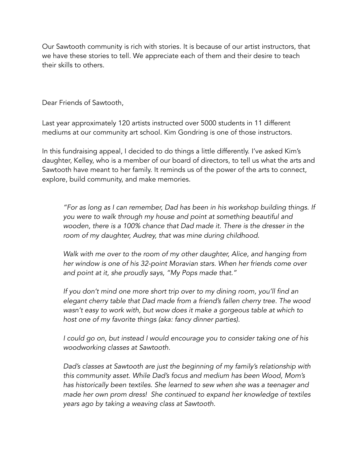Our Sawtooth community is rich with stories. It is because of our artist instructors, that we have these stories to tell. We appreciate each of them and their desire to teach their skills to others.

Dear Friends of Sawtooth,

Last year approximately 120 artists instructed over 5000 students in 11 different mediums at our community art school. Kim Gondring is one of those instructors.

In this fundraising appeal, I decided to do things a little differently. I've asked Kim's daughter, Kelley, who is a member of our board of directors, to tell us what the arts and Sawtooth have meant to her family. It reminds us of the power of the arts to connect, explore, build community, and make memories.

*"For as long as I can remember, Dad has been in his workshop building things. If you were to walk through my house and point at something beautiful and wooden, there is a 100% chance that Dad made it. There is the dresser in the room of my daughter, Audrey, that was mine during childhood.*

*Walk with me over to the room of my other daughter, Alice, and hanging from her window is one of his 32-point Moravian stars. When her friends come over and point at it, she proudly says, "My Pops made that."*

*If you don't mind one more short trip over to my dining room, you'll find an elegant cherry table that Dad made from a friend's fallen cherry tree. The wood wasn't easy to work with, but wow does it make a gorgeous table at which to host one of my favorite things (aka: fancy dinner parties).*

*I could go on, but instead I would encourage you to consider taking one of his woodworking classes at Sawtooth.*

*Dad's classes at Sawtooth are just the beginning of my family's relationship with this community asset. While Dad's focus and medium has been Wood, Mom's has historically been textiles. She learned to sew when she was a teenager and made her own prom dress! She continued to expand her knowledge of textiles years ago by taking a weaving class at Sawtooth.*